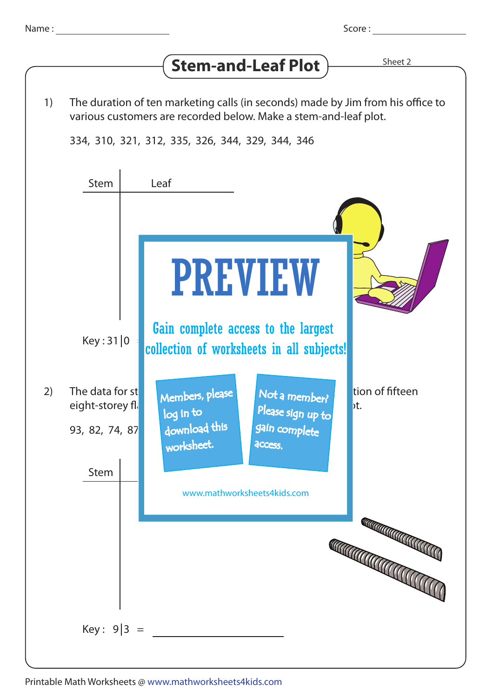## $\left($  **C** to  $\cos \theta$   $\cos \theta$   $\cos \theta$   $\cos \theta$   $\cos \theta$

|    |                                                                                                                                                     | Stem-and-Leaf Plot                                                                                                             |
|----|-----------------------------------------------------------------------------------------------------------------------------------------------------|--------------------------------------------------------------------------------------------------------------------------------|
|    |                                                                                                                                                     |                                                                                                                                |
| 1) | The duration of ten marketing calls (in seconds) made by Jim from his office to<br>various customers are recorded below. Make a stem-and-leaf plot. |                                                                                                                                |
|    |                                                                                                                                                     | 334, 310, 321, 312, 335, 326, 344, 329, 344, 346                                                                               |
|    |                                                                                                                                                     |                                                                                                                                |
|    | <b>Stem</b>                                                                                                                                         | Leaf                                                                                                                           |
|    | Key: 31 0                                                                                                                                           | <b>PREVIEW</b><br>Gain complete access to the largest                                                                          |
|    |                                                                                                                                                     | collection of worksheets in all subjects!                                                                                      |
| 2) | The data for st<br>eight-storey fli<br>93, 82, 74, 87                                                                                               | tion of fifteen<br>Members, please<br>Not a member?<br>bt.<br>Please sign up to<br>log in to<br>download this<br>gain complete |
|    |                                                                                                                                                     | worksheet.<br>access.                                                                                                          |
|    | Stem                                                                                                                                                |                                                                                                                                |
|    |                                                                                                                                                     | www.mathworksheets4kids.com                                                                                                    |
|    |                                                                                                                                                     |                                                                                                                                |
|    |                                                                                                                                                     | <b>CONTRACTOR CON CONTRACTOR</b><br><b>CONTROLLER CONTROLLER</b>                                                               |
|    | Key: $9 3 =$                                                                                                                                        |                                                                                                                                |
|    |                                                                                                                                                     |                                                                                                                                |